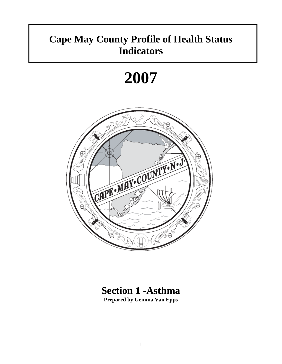## **Cape May County Profile of Health Status Indicators**

# **2007**



### **Section 1 -Asthma Prepared by Gemma Van Epps**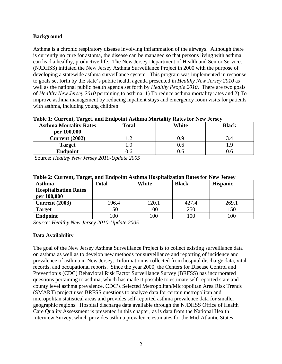#### **Background**

Asthma is a chronic respiratory disease involving inflammation of the airways. Although there is currently no cure for asthma, the disease can be managed so that persons living with asthma can lead a healthy, productive life. The New Jersey Department of Health and Senior Services (NJDHSS) initiated the New Jersey Asthma Surveillance Project in 2000 with the purpose of developing a statewide asthma surveillance system. This program was implemented in response to goals set forth by the state's public health agenda presented in *Healthy New Jersey 2010* as well as the national public health agenda set forth by *Healthy People 2010*. There are two goals of *Healthy New Jersey 2010* pertaining to asthma: 1) To reduce asthma mortality rates and 2) To improve asthma management by reducing inpatient stays and emergency room visits for patients with asthma, including young children.

|                               | Table 1. Current, Target, and Endpoint Asthma Mortanty Kates for New Jersey |       |              |  |  |
|-------------------------------|-----------------------------------------------------------------------------|-------|--------------|--|--|
| <b>Asthma Mortality Rates</b> | <b>Total</b>                                                                | White | <b>Black</b> |  |  |
| per 100,000                   |                                                                             |       |              |  |  |
| <b>Current</b> (2002)         |                                                                             | 1.9   |              |  |  |
| <b>Target</b>                 |                                                                             | J.O   |              |  |  |
| <b>Endpoint</b>               | J.6                                                                         |       |              |  |  |

#### **Table 1: Current, Target, and Endpoint Asthma Mortality Rates for New Jersey**

Source: *Healthy New Jersey 2010-Update 2005*

| <b>Asthma</b><br><b>Hospitalization Rates</b> | <b>Total</b> | White | <b>Black</b> | <b>Hispanic</b> |
|-----------------------------------------------|--------------|-------|--------------|-----------------|
| per 100,000<br><b>Current</b> (2003)          | 196.4        | 120.1 | 427.4        | 269.1           |
| <b>Target</b>                                 | 150          | 100   | 250          | 150             |
| <b>Endpoint</b>                               | 100          | 100   | 100          | 100             |

#### **Table 2: Current, Target, and Endpoint Asthma Hospitalization Rates for New Jersey**

*Source: Healthy New Jersey 2010-Update 2005* 

#### **Data Availability**

The goal of the New Jersey Asthma Surveillance Project is to collect existing surveillance data on asthma as well as to develop new methods for surveillance and reporting of incidence and prevalence of asthma in New Jersey. Information is collected from hospital discharge data, vital records, and occupational reports. Since the year 2000, the Centers for Disease Control and Prevention's (CDC) Behavioral Risk Factor Surveillance Survey (BRFSS) has incorporated questions pertaining to asthma, which has made it possible to estimate self-reported state and county level asthma prevalence. CDC's Selected Metropolitan/Micropolitan Area Risk Trends (SMART) project uses BRFSS questions to analyze data for certain metropolitan and micropolitan statistical areas and provides self-reported asthma prevalence data for smaller geographic regions. Hospital discharge data available through the NJDHSS Office of Health Care Quality Assessment is presented in this chapter, as is data from the National Health Interview Survey, which provides asthma prevalence estimates for the Mid-Atlantic States.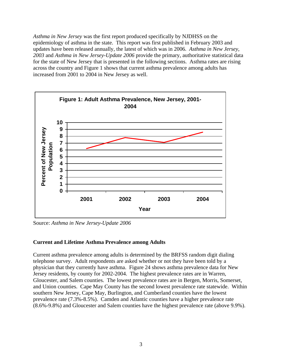*Asthma in New Jersey* was the first report produced specifically by NJDHSS on the epidemiology of asthma in the state. This report was first published in February 2003 and updates have been released annually, the latest of which was in 2006. *Asthma in New Jersey, 2003* and *Asthma in New Jersey-Update 2006* provide the primary, authoritative statistical data for the state of New Jersey that is presented in the following sections. Asthma rates are rising across the country and Figure 1 shows that current asthma prevalence among adults has increased from 2001 to 2004 in New Jersey as well.



Source: *Asthma in New Jersey-Update 2006*

#### **Current and Lifetime Asthma Prevalence among Adults**

Current asthma prevalence among adults is determined by the BRFSS random digit dialing telephone survey. Adult respondents are asked whether or not they have been told by a physician that they currently have asthma. Figure 24 shows asthma prevalence data for New Jersey residents, by county for 2002-2004. The highest prevalence rates are in Warren, Gloucester, and Salem counties. The lowest prevalence rates are in Bergen, Morris, Somerset, and Union counties. Cape May County has the second lowest prevalence rate statewide. Within southern New Jersey, Cape May, Burlington, and Cumberland counties have the lowest prevalence rate (7.3%-8.5%). Camden and Atlantic counties have a higher prevalence rate (8.6%-9.8%) and Gloucester and Salem counties have the highest prevalence rate (above 9.9%).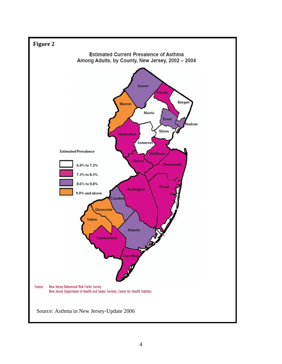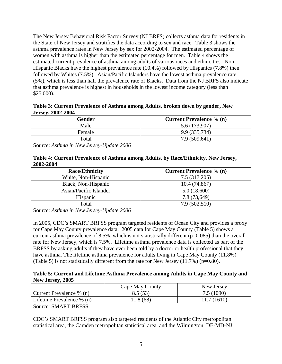The New Jersey Behavioral Risk Factor Survey (NJ BRFS) collects asthma data for residents in the State of New Jersey and stratifies the data according to sex and race. Table 3 shows the asthma prevalence rates in New Jersey by sex for 2002-2004. The estimated percentage of women with asthma is higher than the estimated percentage for men. Table 4 shows the estimated current prevalence of asthma among adults of various races and ethnicities. Non-Hispanic Blacks have the highest prevalence rate (10.4%) followed by Hispanics (7.8%) then followed by Whites (7.5%). Asian/Pacific Islanders have the lowest asthma prevalence rate (5%), which is less than half the prevalence rate of Blacks. Data from the NJ BRFS also indicate that asthma prevalence is highest in households in the lowest income category (less than \$25,000).

**Table 3: Current Prevalence of Asthma among Adults, broken down by gender, New Jersey, 2002-2004** 

| Gender | <b>Current Prevalence % (n)</b> |
|--------|---------------------------------|
| Male   | 5.6 (173,907)                   |
| Female | 9.9 (335,734)                   |
| Total  | 7.9 (509,641)                   |

Source: *Asthma in New Jersey-Update 2006*

#### **Table 4: Current Prevalence of Asthma among Adults, by Race/Ethnicity, New Jersey, 2002-2004**

| <b>Race/Ethnicity</b>  | <b>Current Prevalence % (n)</b> |
|------------------------|---------------------------------|
| White, Non-Hispanic    | 7.5 (317,205)                   |
| Black, Non-Hispanic    | 10.4(74,867)                    |
| Asian/Pacific Islander | 5.0(18,600)                     |
| Hispanic               | 7.8 (73,649)                    |
| Total                  | 7.9(502,510)                    |

Source: *Asthma in New Jersey-Update 2006*

In 2005, CDC's SMART BRFSS program targeted residents of Ocean City and provides a proxy for Cape May County prevalence data. 2005 data for Cape May County (Table 5) shows a current asthma prevalence of 8.5%, which is not statistically different  $(p=0.085)$  than the overall rate for New Jersey, which is 7.5%. Lifetime asthma prevalence data is collected as part of the BRFSS by asking adults if they have ever been told by a doctor or health professional that they have asthma. The lifetime asthma prevalence for adults living in Cape May County (11.8%) (Table 5) is not statistically different from the rate for New Jersey  $(11.7%)$  (p=0.80).

#### **Table 5: Current and Lifetime Asthma Prevalence among Adults in Cape May County and New Jersey, 2005**

|                             | Cape May County | New Jersey  |
|-----------------------------|-----------------|-------------|
| Current Prevalence $\%$ (n) | 8.5(53)         | 7.5 (1090)  |
| Lifetime Prevalence % (n)   | 11.8 (68)       | 11.7 (1610) |
| ____                        |                 |             |

Source: SMART BRFSS

CDC's SMART BRFSS program also targeted residents of the Atlantic City metropolitan statistical area, the Camden metropolitan statistical area, and the Wilmington, DE-MD-NJ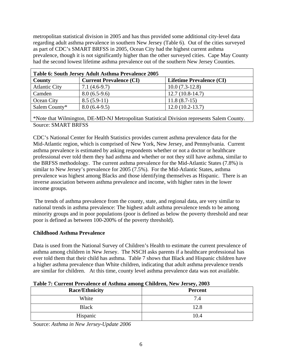metropolitan statistical division in 2005 and has thus provided some additional city-level data regarding adult asthma prevalence in southern New Jersey (Table 6). Out of the cities surveyed as part of CDC's SMART BRFSS in 2005, Ocean City had the highest current asthma prevalence, though it is not significantly higher than the other surveyed cities. Cape May County had the second lowest lifetime asthma prevalence out of the southern New Jersey Counties.

| Table 6: South Jersey Adult Asthma Prevalence 2005 |                                |                                 |  |  |
|----------------------------------------------------|--------------------------------|---------------------------------|--|--|
| County                                             | <b>Current Prevalence (CI)</b> | <b>Lifetime Prevalence (CI)</b> |  |  |
| <b>Atlantic City</b>                               | $7.1(4.6-9.7)$                 | $10.0(7.3-12.8)$                |  |  |
| Camden                                             | $8.0(6.5-9.6)$                 | $12.7(10.8-14.7)$               |  |  |
| <b>Ocean City</b>                                  | $8.5(5.9-11)$                  | $11.8(8.7-15)$                  |  |  |
| Salem County*                                      | $8.0(6.4-9.5)$                 | $12.0(10.2-13.7)$               |  |  |

Source: SMART BRFSS \*Note that Wilmington, DE-MD-NJ Metropolitan Statistical Division represents Salem County.

CDC's National Center for Health Statistics provides current asthma prevalence data for the Mid-Atlantic region, which is comprised of New York, New Jersey, and Pennsylvania. Current asthma prevalence is estimated by asking respondents whether or not a doctor or healthcare professional ever told them they had asthma and whether or not they still have asthma, similar to the BRFSS methodology. The current asthma prevalence for the Mid-Atlantic States (7.8%) is similar to New Jersey's prevalence for 2005 (7.5%). For the Mid-Atlantic States, asthma prevalence was highest among Blacks and those identifying themselves as Hispanic. There is an inverse association between asthma prevalence and income, with higher rates in the lower income groups.

 The trends of asthma prevalence from the county, state, and regional data, are very similar to national trends in asthma prevalence: The highest adult asthma prevalence tends to be among minority groups and in poor populations (poor is defined as below the poverty threshold and near poor is defined as between 100-200% of the poverty threshold).

#### **Childhood Asthma Prevalence**

Data is used from the National Survey of Children's Health to estimate the current prevalence of asthma among children in New Jersey. The NSCH asks parents if a healthcare professional has ever told them that their child has asthma. Table 7 shows that Black and Hispanic children have a higher asthma prevalence than White children, indicating that adult asthma prevalence trends are similar for children. At this time, county level asthma prevalence data was not available.

| Twore $\alpha$ can che i returnee of repairing antony children beloc <sub>i</sub> $\alpha$ |                |
|--------------------------------------------------------------------------------------------|----------------|
| <b>Race/Ethnicity</b>                                                                      | <b>Percent</b> |
| White                                                                                      | 7.4            |
| <b>Black</b>                                                                               | 12.8           |
| Hispanic                                                                                   | 10.4           |

Source: *Asthma in New Jersey-Update 2006*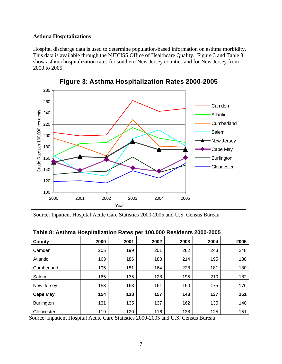#### **Asthma Hospitalizations**

Hospital discharge data is used to determine population-based information on asthma morbidity. This data is available through the NJDHSS Office of Healthcare Quality. Figure 3 and Table 8 show asthma hospitalization rates for southern New Jersey counties and for New Jersey from 2000 to 2005.



Source: Inpatient Hospital Acute Care Statistics 2000-2005 and U.S. Census Bureau

| Table 8: Asthma Hospitalization Rates per 100,000 Residents 2000-2005 |      |      |      |      |      |      |
|-----------------------------------------------------------------------|------|------|------|------|------|------|
| County                                                                | 2000 | 2001 | 2002 | 2003 | 2004 | 2005 |
| Camden                                                                | 205  | 199  | 201  | 262  | 243  | 248  |
| Atlantic                                                              | 163  | 186  | 188  | 214  | 195  | 188  |
| Cumberland                                                            | 195  | 181  | 164  | 228  | 181  | 180  |
| Salem                                                                 | 165  | 135  | 128  | 195  | 210  | 182  |
| New Jersey                                                            | 153  | 163  | 161  | 190  | 175  | 176  |
| <b>Cape May</b>                                                       | 154  | 138  | 157  | 143  | 137  | 161  |
| <b>Burlington</b>                                                     | 131  | 135  | 137  | 162  | 135  | 148  |
| Gloucester                                                            | 119  | 120  | 116  | 138  | 125  | 151  |

Source: Inpatient Hospital Acute Care Statistics 2000-2005 and U.S. Census Bureau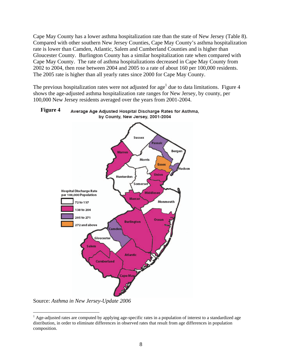Cape May County has a lower asthma hospitalization rate than the state of New Jersey (Table 8). Compared with other southern New Jersey Counties, Cape May County's asthma hospitalization rate is lower than Camden, Atlantic, Salem and Cumberland Counties and is higher than Gloucester County. Burlington County has a similar hospitalization rate when compared with Cape May County. The rate of asthma hospitalizations decreased in Cape May County from 2002 to 2004, then rose between 2004 and 2005 to a rate of about 160 per 100,000 residents. The 2005 rate is higher than all yearly rates since 2000 for Cape May County.

The previous hospitalization rates were not adjusted for age<sup>1</sup> due to data limitations. Figure 4 shows the age-adjusted asthma hospitalization rate ranges for New Jersey, by county, per 100,000 New Jersey residents averaged over the years from 2001-2004.



#### **Figure 4** Average Age Adjusted Hospital Discharge Rates for Asthma, by County, New Jersey, 2001-2004

Source: *Asthma in New Jersey-Update 2006* 

1

<sup>&</sup>lt;sup>1</sup> Age-adjusted rates are computed by applying age-specific rates in a population of interest to a standardized age distribution, in order to eliminate differences in observed rates that result from age differences in population composition.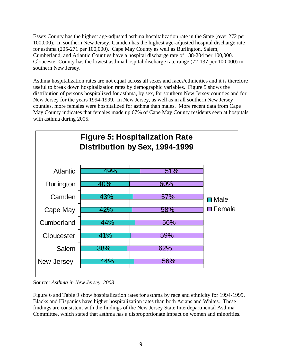Essex County has the highest age-adjusted asthma hospitalization rate in the State (over 272 per 100,000). In southern New Jersey, Camden has the highest age-adjusted hospital discharge rate for asthma (205-271 per 100,000). Cape May County as well as Burlington, Salem, Cumberland, and Atlantic Counties have a hospital discharge rate of 138-204 per 100,000. Gloucester County has the lowest asthma hospital discharge rate range (72-137 per 100,000) in southern New Jersey.

Asthma hospitalization rates are not equal across all sexes and races/ethnicities and it is therefore useful to break down hospitalization rates by demographic variables. Figure 5 shows the distribution of persons hospitalized for asthma, by sex, for southern New Jersey counties and for New Jersey for the years 1994-1999. In New Jersey, as well as in all southern New Jersey counties, more females were hospitalized for asthma than males. More recent data from Cape May County indicates that females made up 67% of Cape May County residents seen at hospitals with asthma during 2005.



Source: *Asthma in New Jersey, 2003*

Figure 6 and Table 9 show hospitalization rates for asthma by race and ethnicity for 1994-1999. Blacks and Hispanics have higher hospitalization rates than both Asians and Whites. These findings are consistent with the findings of the New Jersey State Interdepartmental Asthma Committee, which stated that asthma has a disproportionate impact on women and minorities.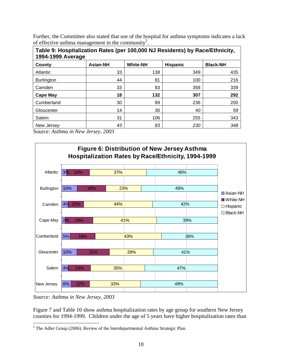Further, the Committee also stated that use of the hospital for asthma symptoms indicates a lack of effective asthma management in the community<sup>2</sup>.

| Table 9: Hospitalization Rates (per 100,000 NJ Residents) by Race/Ethnicity,<br>1994-1999 Average |                 |                 |                 |                 |
|---------------------------------------------------------------------------------------------------|-----------------|-----------------|-----------------|-----------------|
| County                                                                                            | <b>Asian-NH</b> | <b>White-NH</b> | <b>Hispanic</b> | <b>Black-NH</b> |
| Atlantic                                                                                          | 33              | 138             | 349             | 435             |
| <b>Burlington</b>                                                                                 | 44              | 81              | 100             | 216             |
| Camden                                                                                            | 33              | 83              | 358             | 339             |
| <b>Cape May</b>                                                                                   | 18              | 132             | 307             | 292             |
| Cumberland                                                                                        | 30              | 89              | 236             | 200             |
| Gloucester                                                                                        | 14              | 30              | 40              | 59              |
| Salem                                                                                             | 31              | 106             | 255             | 343             |
| New Jersev                                                                                        | 43              | 83              | 230             | 348             |

Source: *Asthma in New Jersey, 2003* 



*Source: Asthma in New Jersey, 2003* 

Figure 7 and Table 10 show asthma hospitalization rates by age group for southern New Jersey counties for 1994-1999. Children under the age of 5 years have higher hospitalization rates than

<sup>&</sup>lt;sup>2</sup> The Adler Group (2006). Review of the Interdepartmental Asthma Strategic Plan.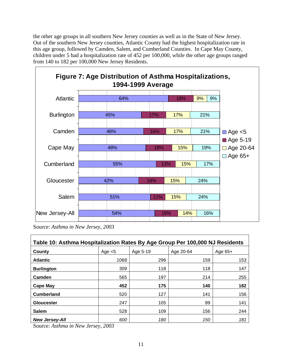the other age groups in all southern New Jersey counties as well as in the State of New Jersey. Out of the southern New Jersey counties, Atlantic County had the highest hospitalization rate in this age group, followed by Camden, Salem, and Cumberland Counties. In Cape May County, children under 5 had a hospitalization rate of 452 per 100,000, while the other age groups ranged from 140 to 182 per 100,000 New Jersey Residents.



Source: *Asthma in New Jersey, 2003* 

| Table 10: Asthma Hospitalization Rates By Age Group Per 100,000 NJ Residents |           |          |           |           |
|------------------------------------------------------------------------------|-----------|----------|-----------|-----------|
| County                                                                       | Age $< 5$ | Age 5-19 | Age 20-64 | Age $65+$ |
| <b>Atlantic</b>                                                              | 1068      | 296      | 159       | 153       |
| <b>Burlington</b>                                                            | 309       | 118      | 118       | 147       |
| Camden                                                                       | 565       | 197      | 214       | 255       |
| <b>Cape May</b>                                                              | 452       | 175      | 140       | 182       |
| <b>Cumberland</b>                                                            | 520       | 127      | 141       | 156       |
| <b>Gloucester</b>                                                            | 247       | 105      | 89        | 141       |
| <b>Salem</b>                                                                 | 528       | 109      | 156       | 244       |
| <b>New Jersey-All</b>                                                        | 600       | 180      | 150       | 181       |

Source: *Asthma in New Jersey, 2003*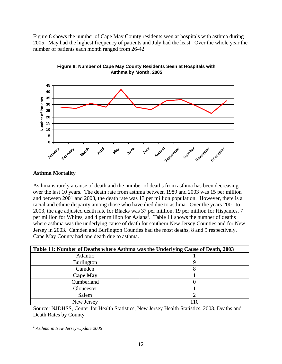Figure 8 shows the number of Cape May County residents seen at hospitals with asthma during 2005. May had the highest frequency of patients and July had the least. Over the whole year the number of patients each month ranged from 26-42.





#### **Asthma Mortality**

Asthma is rarely a cause of death and the number of deaths from asthma has been decreasing over the last 10 years. The death rate from asthma between 1989 and 2003 was 15 per million and between 2001 and 2003, the death rate was 13 per million population. However, there is a racial and ethnic disparity among those who have died due to asthma. Over the years 2001 to 2003, the age adjusted death rate for Blacks was 37 per million, 19 per million for Hispanics, 7 per million for Whites, and 4 per million for Asians<sup>3</sup>. Table 11 shows the number of deaths where asthma was the underlying cause of death for southern New Jersey Counties and for New Jersey in 2003. Camden and Burlington Counties had the most deaths, 8 and 9 respectively. Cape May County had one death due to asthma.

| Table 11: Number of Deaths where Asthma was the Underlying Cause of Death, 2003 |  |  |
|---------------------------------------------------------------------------------|--|--|
| Atlantic                                                                        |  |  |
| Burlington                                                                      |  |  |
| Camden                                                                          |  |  |
| <b>Cape May</b>                                                                 |  |  |
| Cumberland                                                                      |  |  |
| Gloucester                                                                      |  |  |
| Salem                                                                           |  |  |
| New Jersey                                                                      |  |  |

Source: NJDHSS, Center for Health Statistics, New Jersey Health Statistics, 2003, Deaths and Death Rates by County

 $\overline{a}$ <sup>3</sup> *Asthma in New Jersey-Update 2006*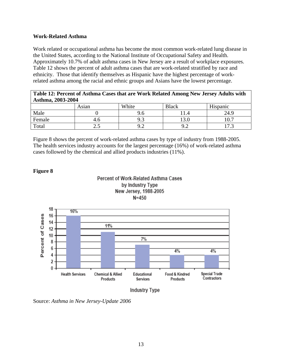#### **Work-Related Asthma**

Work related or occupational asthma has become the most common work-related lung disease in the United States, according to the National Institute of Occupational Safety and Health. Approximately 10.7% of adult asthma cases in New Jersey are a result of workplace exposures. Table 12 shows the percent of adult asthma cases that are work-related stratified by race and ethnicity. Those that identify themselves as Hispanic have the highest percentage of workrelated asthma among the racial and ethnic groups and Asians have the lowest percentage.

| Table 12: Percent of Asthma Cases that are Work Related Among New Jersey Adults with |  |
|--------------------------------------------------------------------------------------|--|
| Asthma, 2003-2004                                                                    |  |

|        | Asian | White | <b>Black</b>     | Hispanic                 |
|--------|-------|-------|------------------|--------------------------|
| Male   |       | 9.0   | 1.4              | 24.9                     |
| Female | 4.0   | ر.,   | $\Omega$<br>19.U | 1 $\cap$ $\Box$<br>10. . |
| Total  | ن ک   | ╯.∠   | റ റ<br>╯.∠       | $1 -$<br>17.J            |

Figure 8 shows the percent of work-related asthma cases by type of industry from 1988-2005. The health services industry accounts for the largest percentage (16%) of work-related asthma cases followed by the chemical and allied products industries (11%).

#### **Figure 8**







Source: *Asthma in New Jersey-Update 2006*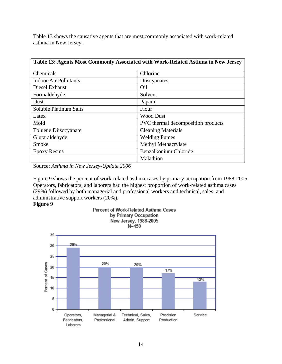Table 13 shows the causative agents that are most commonly associated with work-related asthma in New Jersey.

| Table 13: Agents Most Commonly Associated with Work-Related Asthma in New Jersey |                                    |  |  |  |
|----------------------------------------------------------------------------------|------------------------------------|--|--|--|
| Chemicals                                                                        | Chlorine                           |  |  |  |
| <b>Indoor Air Pollutants</b>                                                     | Discyanates                        |  |  |  |
| Diesel Exhaust                                                                   | Oil                                |  |  |  |
| Formaldehyde                                                                     | Solvent                            |  |  |  |
| Dust                                                                             | Papain                             |  |  |  |
| <b>Soluble Platinum Salts</b>                                                    | Flour                              |  |  |  |
| Latex                                                                            | <b>Wood Dust</b>                   |  |  |  |
| Mold                                                                             | PVC thermal decomposition products |  |  |  |
| Toluene Diisocyanate                                                             | <b>Cleaning Materials</b>          |  |  |  |
| Glutaraldehyde                                                                   | <b>Welding Fumes</b>               |  |  |  |
| Smoke                                                                            | Methyl Methacrylate                |  |  |  |
| <b>Epoxy Resins</b>                                                              | Benzalkonium Chloride              |  |  |  |
|                                                                                  | Malathion                          |  |  |  |

Source: *Asthma in New Jersey-Update 2006*

Figure 9 shows the percent of work-related asthma cases by primary occupation from 1988-2005. Operators, fabricators, and laborers had the highest proportion of work-related asthma cases (29%) followed by both managerial and professional workers and technical, sales, and administrative support workers (20%).

#### **Figure 9**

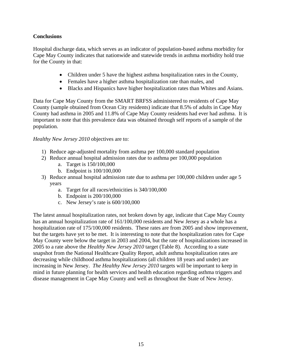#### **Conclusions**

Hospital discharge data, which serves as an indicator of population-based asthma morbidity for Cape May County indicates that nationwide and statewide trends in asthma morbidity hold true for the County in that:

- Children under 5 have the highest asthma hospitalization rates in the County,
- Females have a higher asthma hospitalization rate than males, and
- Blacks and Hispanics have higher hospitalization rates than Whites and Asians.

Data for Cape May County from the SMART BRFSS administered to residents of Cape May County (sample obtained from Ocean City residents) indicate that 8.5% of adults in Cape May County had asthma in 2005 and 11.8% of Cape May County residents had ever had asthma. It is important to note that this prevalence data was obtained through self reports of a sample of the population.

#### *Healthy New Jersey 2010* objectives are to:

- 1) Reduce age-adjusted mortality from asthma per 100,000 standard population
- 2) Reduce annual hospital admission rates due to asthma per 100,000 population a. Target is 150/100,000
	- b. Endpoint is 100/100,000
- 3) Reduce annual hospital admission rate due to asthma per 100,000 children under age 5 years
	- a. Target for all races/ethnicities is 340/100,000
	- b. Endpoint is 200/100,000
	- c. New Jersey's rate is 600/100,000

The latest annual hospitalization rates, not broken down by age, indicate that Cape May County has an annual hospitalization rate of 161/100,000 residents and New Jersey as a whole has a hospitalization rate of 175/100,000 residents. These rates are from 2005 and show improvement, but the targets have yet to be met. It is interesting to note that the hospitalization rates for Cape May County were below the target in 2003 and 2004, but the rate of hospitalizations increased in 2005 to a rate above the *Healthy New Jersey 2010* target (Table 8). According to a state snapshot from the National Healthcare Quality Report, adult asthma hospitalization rates are decreasing while childhood asthma hospitalizations (all children 18 years and under) are increasing in New Jersey. *The Healthy New Jersey 2010* targets will be important to keep in mind in future planning for health services and health education regarding asthma triggers and disease management in Cape May County and well as throughout the State of New Jersey.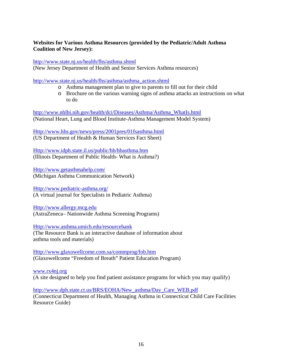#### **Websites for Various Asthma Resources (provided by the Pediatric/Adult Asthma Coalition of New Jersey):**

http://www.state.nj.us/health/fhs/asthma.shtml

(New Jersey Department of Health and Senior Services Asthma resources)

http://www.state.nj.us/health/fhs/asthma/asthma\_action.shtml

- o Asthma management plan to give to parents to fill out for their child
- o Brochure on the various warning signs of asthma attacks an instructions on what to do

http://www.nhlbi.nih.gov/health/dci/Diseases/Asthma/Asthma\_WhatIs.html (National Heart, Lung and Blood Institute-Asthma Management Model System)

Http://www.hhs.gov/news/press/2001pres/01fsasthma.html (US Department of Health & Human Services Fact Sheet)

Http://www.idph.state.il.us/public/hb/hbasthma.htm (Illinois Department of Public Health- What is Asthma?)

Http://www.getasthmahelp.com/ (Michigan Asthma Communication Network)

Http://www.pediatric-asthma.org/

(A virtual journal for Specialists in Pediatric Asthma)

Http://www.allergy.mcg.edu (AstraZeneca– Nationwide Asthma Screening Programs)

Http://www.asthma.umich.edu/resourcebank

(The Resource Bank is an interactive database of information about asthma tools and materials)

Http://www.glaxowellcome.com.sa/commprog/fob.htm (Glaxowellcome "Freedom of Breath" Patient Education Program)

www.rx4nj.org (A site designed to help you find patient assistance programs for which you may qualify)

http://www.dph.state.ct.us/BRS/EOHA/New\_asthma/Day\_Care\_WEB.pdf (Connecticut Department of Health, Managing Asthma in Connecticut Child Care Facilities Resource Guide)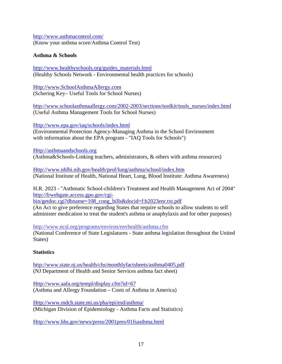http://www.asthmacontrol.com/ (Know your asthma score/Asthma Control Test)

#### **Asthma & Schools**

http://www.healthyschools.org/guides\_materials.html (Healthy Schools Network - Environmental health practices for schools)

Http://www.SchoolAsthmaAllergy.com (Schering Key– Useful Tools for School Nurses)

http://www.schoolasthmaallergy.com/2002-2003/sections/toolkit/tools\_nurses/index.html (Useful Asthma Management Tools for School Nurses)

Http://www.epa.gov/iaq/schools/index.html

(Environmental Protection Agency-Managing Asthma in the School Environment with information about the EPA program - "IAQ Tools for Schools")

Http://asthmaandschools.org (Asthma&Schools-Linking teachers, administrators, & others with asthma resources)

Http://www.nhlbi.nih.gov/health/prof/lung/asthma/school/index.htm (National Institute of Health, National Heart, Lung, Blood Institute: Asthma Awareness)

H.R. 2023 - "Asthmatic School-children's Treatment and Health Management Act of 2004" http://frwebgate.access.gpo.gov/cgi-

bin/getdoc.cgi?dbname=108\_cong\_bills&docid=f:h2023enr.txt.pdf

(An Act to give preference regarding States that require schools to allow students to self administer medication to treat the student's asthma or anaphylaxis and for other purposes)

http://www.ncsl.org/programs/environ/envhealth/asthma.cfm

(National Conference of State Legislatures - State asthma legislation throughout the United States)

#### **Statistics**

http://www.state.nj.us/health/chs/monthlyfactsheets/asthma0405.pdf (NJ Department of Health and Senior Services asthma fact sheet)

Http://www.aafa.org/templ/display.cfm?id=67 (Asthma and Allergy Foundation – Costs of Asthma in America)

Http://www.mdch.state.mi.us/pha/epi/esd/asthma/ (Michigan Division of Epidemiology - Asthma Facts and Statistics)

Http://www.hhs.gov/news/press/2001pres/01fsasthma.html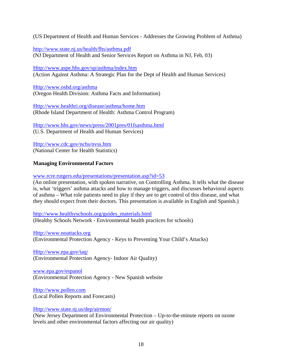(US Department of Health and Human Services - Addresses the Growing Problem of Asthma)

http://www.state.nj.us/health/fhs/asthma.pdf (NJ Department of Health and Senior Services Report on Asthma in NJ, Feb, 03)

Http://www.aspe.hhs.gov/sp/asthma/index.htm (Action Against Asthma: A Strategic Plan for the Dept of Health and Human Services)

Http://www.oshd.org/asthma (Oregon Health Division: Asthma Facts and Information)

Http://www.healthri.org/disease/asthma/home.htm (Rhode Island Department of Health: Asthma Control Program)

Http://www.hhs.gov/news/press/2001pres/01fsasthma.html (U.S. Department of Health and Human Services)

Http://www.cdc.gov/nchs/nvss.htm (National Center for Health Statistics)

#### **Managing Environmental Factors**

www.rcre.rutgers.edu/presentations/presentation.asp?id=53

(An online presentation, with spoken narrative, on Controlling Asthma. It tells what the disease is, what 'triggers' asthma attacks and how to manage triggers, and discusses behavioral aspects of asthma – What role patients need to play if they are to get control of this disease, and what they should expect from their doctors. This presentation is available in English and Spanish.)

http://www.healthyschools.org/guides\_materials.html (Healthy Schools Network - Environmental health practices for schools)

Http://www.noattacks.org (Environmental Protection Agency - Keys to Preventing Your Child's Attacks)

Http://www.epa.gov/iaq/ (Environmental Protection Agency- Indoor Air Quality)

www.epa.gov/espanol (Environmental Protection Agency - New Spanish website

Http://www.pollen.com (Local Pollen Reports and Forecasts)

Http://www.state.nj.us/dep/airmon/

(New Jersey Department of Environmental Protection – Up-to-the-minute reports on ozone levels and other environmental factors affecting our air quality)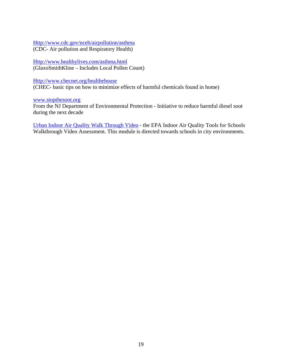Http://www.cdc.gov/nceh/airpollution/asthma (CDC- Air pollution and Respiratory Health)

Http://www.healthylives.com/asthma.html (GlaxoSmithKline – Includes Local Pollen Count)

Http://www.checnet.org/healthehouse

(CHEC- basic tips on how to minimize effects of harmful chemicals found in home)

www.stopthesoot.org

From the NJ Department of Environmental Protection - Initiative to reduce harmful diesel soot during the next decade

Urban Indoor Air Quality Walk Through Video - the EPA Indoor Air Quality Tools for Schools Walkthrough Video Assessment. This module is directed towards schools in city environments.